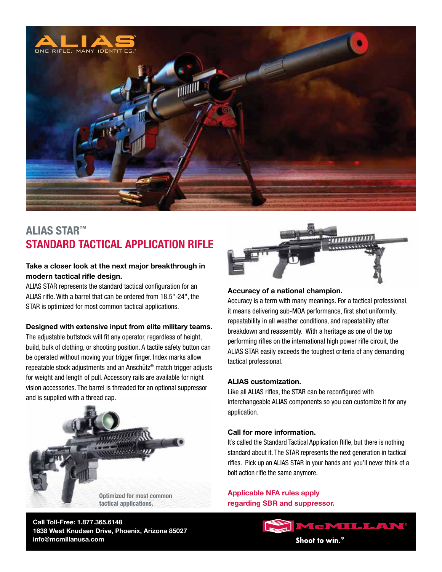

## **ALIAS STAR™ STANDARD TACTICAL APPLICATION RIFLE**

### **Take a closer look at the next major breakthrough in modern tactical rifle design.**

ALIAS STAR represents the standard tactical configuration for an ALIAS rifle. With a barrel that can be ordered from 18.5"-24", the STAR is optimized for most common tactical applications.

#### **Designed with extensive input from elite military teams.**

The adjustable buttstock will fit any operator, regardless of height, build, bulk of clothing, or shooting position. A tactile safety button can be operated without moving your trigger finger. Index marks allow repeatable stock adjustments and an Anschütz® match trigger adjusts for weight and length of pull. Accessory rails are available for night vision accessories. The barrel is threaded for an optional suppressor and is supplied with a thread cap.



**Call Toll-Free: 1.877.365.6148 1638 West Knudsen Drive, Phoenix, Arizona 85027 info@mcmillanusa.com**



#### **Accuracy of a national champion.**

Accuracy is a term with many meanings. For a tactical professional, it means delivering sub-MOA performance, first shot uniformity, repeatability in all weather conditions, and repeatability after breakdown and reassembly. With a heritage as one of the top performing rifles on the international high power rifle circuit, the ALIAS STAR easily exceeds the toughest criteria of any demanding tactical professional.

#### **ALIAS customization.**

Like all ALIAS rifles, the STAR can be reconfigured with interchangeable ALIAS components so you can customize it for any application.

#### **Call for more information.**

It's called the Standard Tactical Application Rifle, but there is nothing standard about it. The STAR represents the next generation in tactical rifles. Pick up an ALIAS STAR in your hands and you'll never think of a bolt action rifle the same anymore.

**Applicable NFA rules apply regarding SBR and suppressor.**